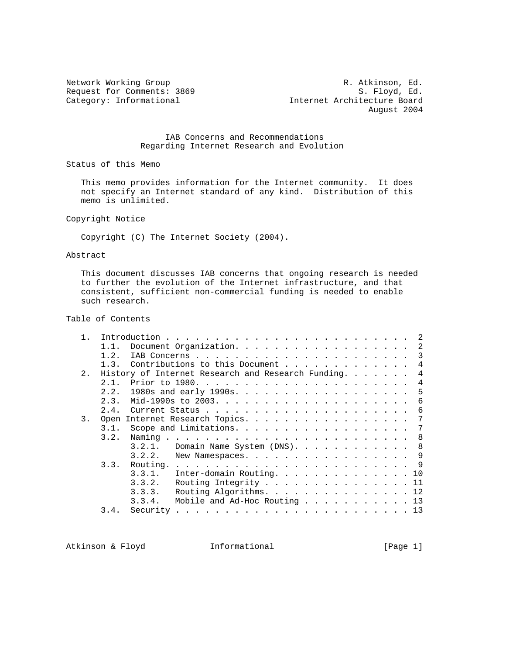Network Working Group **R. Atkinson**, Ed. Request for Comments: 3869 S. Floyd, Ed.<br>
Category: Informational Stategory: Informational Stategory: Informational Stategory: Informational Stategory Internet Architecture Board August 2004

## IAB Concerns and Recommendations Regarding Internet Research and Evolution

Status of this Memo

 This memo provides information for the Internet community. It does not specify an Internet standard of any kind. Distribution of this memo is unlimited.

Copyright Notice

Copyright (C) The Internet Society (2004).

## Abstract

 This document discusses IAB concerns that ongoing research is needed to further the evolution of the Internet infrastructure, and that consistent, sufficient non-commercial funding is needed to enable such research.

# Table of Contents

| $1$ . |                                                                      |                                                 |    |  |  |  |  |  |  |  |  |  |  |
|-------|----------------------------------------------------------------------|-------------------------------------------------|----|--|--|--|--|--|--|--|--|--|--|
|       | 11                                                                   | Document Organization. 2                        |    |  |  |  |  |  |  |  |  |  |  |
|       | 1.2.                                                                 |                                                 | 3  |  |  |  |  |  |  |  |  |  |  |
|       | 1.3.                                                                 | Contributions to this Document                  | 4  |  |  |  |  |  |  |  |  |  |  |
| 2.    | History of Internet Research and Research Funding.<br>$\overline{4}$ |                                                 |    |  |  |  |  |  |  |  |  |  |  |
|       | 2.1.                                                                 |                                                 | 4  |  |  |  |  |  |  |  |  |  |  |
|       | 2.2.                                                                 | 1980s and early 1990s. 5                        |    |  |  |  |  |  |  |  |  |  |  |
|       | 2.3.                                                                 |                                                 | 6  |  |  |  |  |  |  |  |  |  |  |
|       |                                                                      |                                                 | 6  |  |  |  |  |  |  |  |  |  |  |
| 3.    |                                                                      | Open Internet Research Topics.                  | 7  |  |  |  |  |  |  |  |  |  |  |
|       | 3.1.                                                                 | Scope and Limitations.                          | -7 |  |  |  |  |  |  |  |  |  |  |
|       | 3.2.                                                                 | Naming .                                        |    |  |  |  |  |  |  |  |  |  |  |
|       |                                                                      | Domain Name System (DNS). 8<br>3.2.1.           |    |  |  |  |  |  |  |  |  |  |  |
|       |                                                                      | 3.2.2.<br>New Namespaces. 9                     |    |  |  |  |  |  |  |  |  |  |  |
|       |                                                                      | 3.3. Routing.                                   |    |  |  |  |  |  |  |  |  |  |  |
|       |                                                                      | 3.3.1.<br>Inter-domain Routing. 10              |    |  |  |  |  |  |  |  |  |  |  |
|       |                                                                      | 3.3.2.<br>Routing Integrity 11                  |    |  |  |  |  |  |  |  |  |  |  |
|       |                                                                      | Routing Algorithms. 12<br>3.3.3.                |    |  |  |  |  |  |  |  |  |  |  |
|       |                                                                      | 3.3.4.<br>Mobile and Ad-Hoc Routing $\ldots$ 13 |    |  |  |  |  |  |  |  |  |  |  |
|       | 3.4.                                                                 | Security                                        |    |  |  |  |  |  |  |  |  |  |  |
|       |                                                                      |                                                 |    |  |  |  |  |  |  |  |  |  |  |

Atkinson & Floyd **Informational** [Page 1]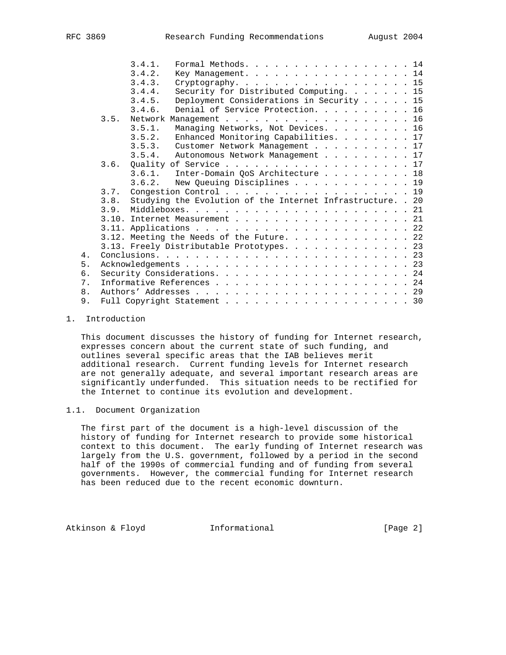|    |                           | 3.4.1. | Formal Methods. 14                                          |  |  |  |  |  |  |  |  |  |  |  |
|----|---------------------------|--------|-------------------------------------------------------------|--|--|--|--|--|--|--|--|--|--|--|
|    |                           | 3.4.2. | Key Management. 14                                          |  |  |  |  |  |  |  |  |  |  |  |
|    |                           | 3.4.3. | Cryptography. 15                                            |  |  |  |  |  |  |  |  |  |  |  |
|    |                           | 3.4.4. | Security for Distributed Computing. 15                      |  |  |  |  |  |  |  |  |  |  |  |
|    |                           | 3.4.5. | Deployment Considerations in Security 15                    |  |  |  |  |  |  |  |  |  |  |  |
|    |                           | 3.4.6. | Denial of Service Protection. 16                            |  |  |  |  |  |  |  |  |  |  |  |
|    | 3.5.                      |        | Network Management 16                                       |  |  |  |  |  |  |  |  |  |  |  |
|    |                           | 3.5.1. | Managing Networks, Not Devices. 16                          |  |  |  |  |  |  |  |  |  |  |  |
|    |                           | 3.5.2. | Enhanced Monitoring Capabilities. 17                        |  |  |  |  |  |  |  |  |  |  |  |
|    |                           | 3.5.3. | Customer Network Management 17                              |  |  |  |  |  |  |  |  |  |  |  |
|    |                           | 3.5.4. | Autonomous Network Management 17                            |  |  |  |  |  |  |  |  |  |  |  |
|    |                           |        | 3.6. Quality of Service 17                                  |  |  |  |  |  |  |  |  |  |  |  |
|    |                           |        | 3.6.1. Inter-Domain QoS Architecture 18                     |  |  |  |  |  |  |  |  |  |  |  |
|    |                           |        | 3.6.2. New Queuing Disciplines 19                           |  |  |  |  |  |  |  |  |  |  |  |
|    | 3.7.                      |        | Congestion Control 19                                       |  |  |  |  |  |  |  |  |  |  |  |
|    | 3.8.                      |        | Studying the Evolution of the Internet Infrastructure. . 20 |  |  |  |  |  |  |  |  |  |  |  |
|    |                           |        |                                                             |  |  |  |  |  |  |  |  |  |  |  |
|    |                           |        | 3.10. Internet Measurement 21                               |  |  |  |  |  |  |  |  |  |  |  |
|    |                           |        |                                                             |  |  |  |  |  |  |  |  |  |  |  |
|    |                           |        | 3.12. Meeting the Needs of the Future. 22                   |  |  |  |  |  |  |  |  |  |  |  |
|    |                           |        | 3.13. Freely Distributable Prototypes. 23                   |  |  |  |  |  |  |  |  |  |  |  |
| 4. |                           |        |                                                             |  |  |  |  |  |  |  |  |  |  |  |
| 5. |                           |        |                                                             |  |  |  |  |  |  |  |  |  |  |  |
| 6. |                           |        |                                                             |  |  |  |  |  |  |  |  |  |  |  |
| 7. | Informative References 24 |        |                                                             |  |  |  |  |  |  |  |  |  |  |  |
| 8. |                           |        |                                                             |  |  |  |  |  |  |  |  |  |  |  |
| 9. |                           |        | Full Copyright Statement 30                                 |  |  |  |  |  |  |  |  |  |  |  |

## 1. Introduction

 This document discusses the history of funding for Internet research, expresses concern about the current state of such funding, and outlines several specific areas that the IAB believes merit additional research. Current funding levels for Internet research are not generally adequate, and several important research areas are significantly underfunded. This situation needs to be rectified for the Internet to continue its evolution and development.

## 1.1. Document Organization

 The first part of the document is a high-level discussion of the history of funding for Internet research to provide some historical context to this document. The early funding of Internet research was largely from the U.S. government, followed by a period in the second half of the 1990s of commercial funding and of funding from several governments. However, the commercial funding for Internet research has been reduced due to the recent economic downturn.

Atkinson & Floyd **Informational** [Page 2]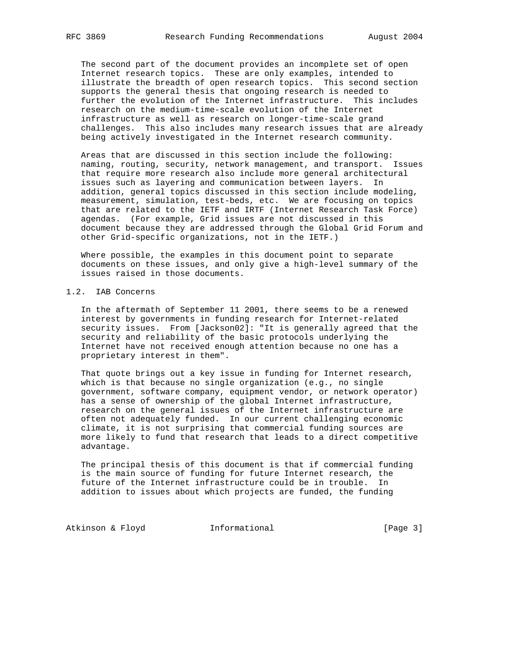The second part of the document provides an incomplete set of open Internet research topics. These are only examples, intended to illustrate the breadth of open research topics. This second section supports the general thesis that ongoing research is needed to further the evolution of the Internet infrastructure. This includes research on the medium-time-scale evolution of the Internet infrastructure as well as research on longer-time-scale grand challenges. This also includes many research issues that are already being actively investigated in the Internet research community.

 Areas that are discussed in this section include the following: naming, routing, security, network management, and transport. Issues that require more research also include more general architectural issues such as layering and communication between layers. In addition, general topics discussed in this section include modeling, measurement, simulation, test-beds, etc. We are focusing on topics that are related to the IETF and IRTF (Internet Research Task Force) agendas. (For example, Grid issues are not discussed in this document because they are addressed through the Global Grid Forum and other Grid-specific organizations, not in the IETF.)

 Where possible, the examples in this document point to separate documents on these issues, and only give a high-level summary of the issues raised in those documents.

## 1.2. IAB Concerns

 In the aftermath of September 11 2001, there seems to be a renewed interest by governments in funding research for Internet-related security issues. From [Jackson02]: "It is generally agreed that the security and reliability of the basic protocols underlying the Internet have not received enough attention because no one has a proprietary interest in them".

 That quote brings out a key issue in funding for Internet research, which is that because no single organization (e.g., no single government, software company, equipment vendor, or network operator) has a sense of ownership of the global Internet infrastructure, research on the general issues of the Internet infrastructure are often not adequately funded. In our current challenging economic climate, it is not surprising that commercial funding sources are more likely to fund that research that leads to a direct competitive advantage.

 The principal thesis of this document is that if commercial funding is the main source of funding for future Internet research, the future of the Internet infrastructure could be in trouble. In addition to issues about which projects are funded, the funding

Atkinson & Floyd **Informational Informational** [Page 3]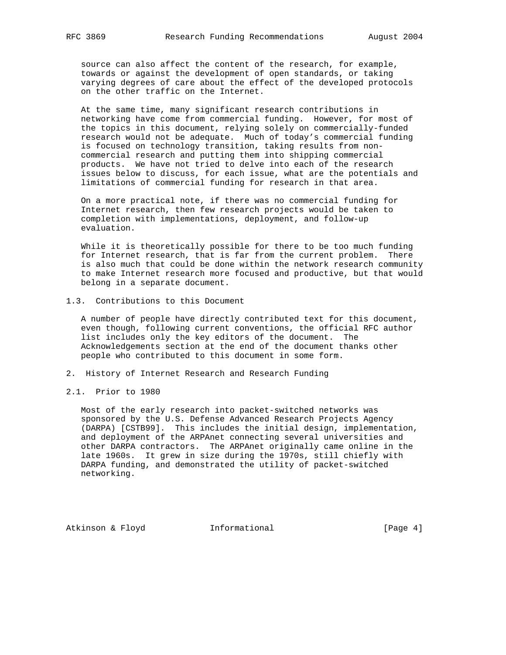source can also affect the content of the research, for example, towards or against the development of open standards, or taking varying degrees of care about the effect of the developed protocols on the other traffic on the Internet.

 At the same time, many significant research contributions in networking have come from commercial funding. However, for most of the topics in this document, relying solely on commercially-funded research would not be adequate. Much of today's commercial funding is focused on technology transition, taking results from non commercial research and putting them into shipping commercial products. We have not tried to delve into each of the research issues below to discuss, for each issue, what are the potentials and limitations of commercial funding for research in that area.

 On a more practical note, if there was no commercial funding for Internet research, then few research projects would be taken to completion with implementations, deployment, and follow-up evaluation.

 While it is theoretically possible for there to be too much funding for Internet research, that is far from the current problem. There is also much that could be done within the network research community to make Internet research more focused and productive, but that would belong in a separate document.

1.3. Contributions to this Document

 A number of people have directly contributed text for this document, even though, following current conventions, the official RFC author list includes only the key editors of the document. The Acknowledgements section at the end of the document thanks other people who contributed to this document in some form.

- 2. History of Internet Research and Research Funding
- 2.1. Prior to 1980

 Most of the early research into packet-switched networks was sponsored by the U.S. Defense Advanced Research Projects Agency (DARPA) [CSTB99]. This includes the initial design, implementation, and deployment of the ARPAnet connecting several universities and other DARPA contractors. The ARPAnet originally came online in the late 1960s. It grew in size during the 1970s, still chiefly with DARPA funding, and demonstrated the utility of packet-switched networking.

Atkinson & Floyd **Informational** [Page 4]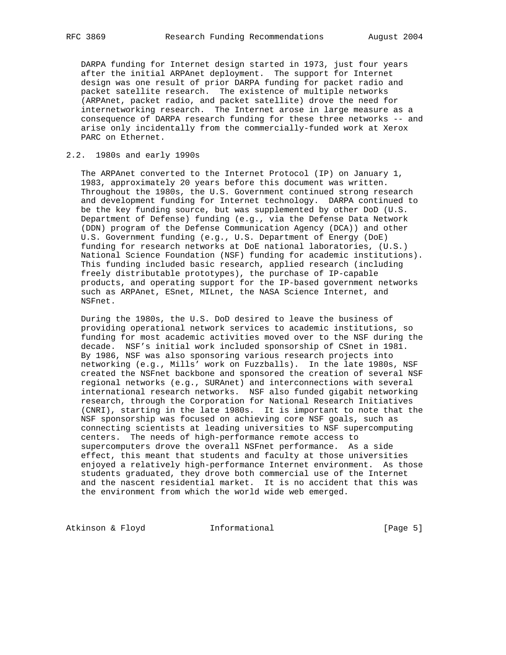DARPA funding for Internet design started in 1973, just four years after the initial ARPAnet deployment. The support for Internet design was one result of prior DARPA funding for packet radio and packet satellite research. The existence of multiple networks (ARPAnet, packet radio, and packet satellite) drove the need for internetworking research. The Internet arose in large measure as a consequence of DARPA research funding for these three networks -- and arise only incidentally from the commercially-funded work at Xerox PARC on Ethernet.

## 2.2. 1980s and early 1990s

 The ARPAnet converted to the Internet Protocol (IP) on January 1, 1983, approximately 20 years before this document was written. Throughout the 1980s, the U.S. Government continued strong research and development funding for Internet technology. DARPA continued to be the key funding source, but was supplemented by other DoD (U.S. Department of Defense) funding (e.g., via the Defense Data Network (DDN) program of the Defense Communication Agency (DCA)) and other U.S. Government funding (e.g., U.S. Department of Energy (DoE) funding for research networks at DoE national laboratories, (U.S.) National Science Foundation (NSF) funding for academic institutions). This funding included basic research, applied research (including freely distributable prototypes), the purchase of IP-capable products, and operating support for the IP-based government networks such as ARPAnet, ESnet, MILnet, the NASA Science Internet, and NSFnet.

 During the 1980s, the U.S. DoD desired to leave the business of providing operational network services to academic institutions, so funding for most academic activities moved over to the NSF during the decade. NSF's initial work included sponsorship of CSnet in 1981. By 1986, NSF was also sponsoring various research projects into networking (e.g., Mills' work on Fuzzballs). In the late 1980s, NSF created the NSFnet backbone and sponsored the creation of several NSF regional networks (e.g., SURAnet) and interconnections with several international research networks. NSF also funded gigabit networking research, through the Corporation for National Research Initiatives (CNRI), starting in the late 1980s. It is important to note that the NSF sponsorship was focused on achieving core NSF goals, such as connecting scientists at leading universities to NSF supercomputing centers. The needs of high-performance remote access to supercomputers drove the overall NSFnet performance. As a side effect, this meant that students and faculty at those universities enjoyed a relatively high-performance Internet environment. As those students graduated, they drove both commercial use of the Internet and the nascent residential market. It is no accident that this was the environment from which the world wide web emerged.

Atkinson & Floyd **Informational** [Page 5]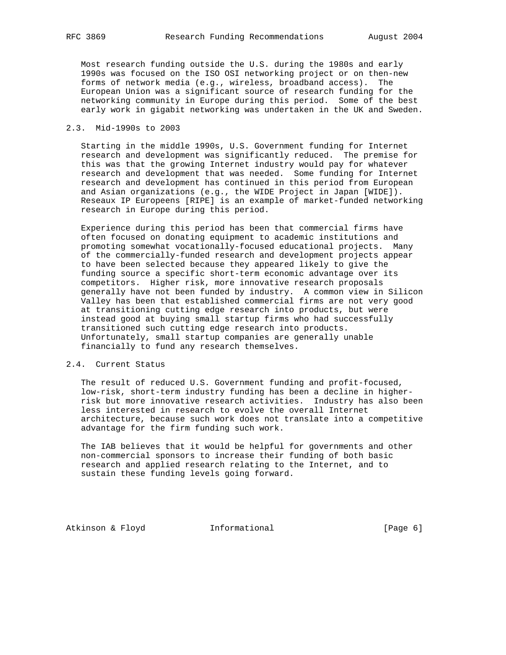Most research funding outside the U.S. during the 1980s and early 1990s was focused on the ISO OSI networking project or on then-new forms of network media (e.g., wireless, broadband access). The European Union was a significant source of research funding for the networking community in Europe during this period. Some of the best early work in gigabit networking was undertaken in the UK and Sweden.

### 2.3. Mid-1990s to 2003

 Starting in the middle 1990s, U.S. Government funding for Internet research and development was significantly reduced. The premise for this was that the growing Internet industry would pay for whatever research and development that was needed. Some funding for Internet research and development has continued in this period from European and Asian organizations (e.g., the WIDE Project in Japan [WIDE]). Reseaux IP Europeens [RIPE] is an example of market-funded networking research in Europe during this period.

 Experience during this period has been that commercial firms have often focused on donating equipment to academic institutions and promoting somewhat vocationally-focused educational projects. Many of the commercially-funded research and development projects appear to have been selected because they appeared likely to give the funding source a specific short-term economic advantage over its competitors. Higher risk, more innovative research proposals generally have not been funded by industry. A common view in Silicon Valley has been that established commercial firms are not very good at transitioning cutting edge research into products, but were instead good at buying small startup firms who had successfully transitioned such cutting edge research into products. Unfortunately, small startup companies are generally unable financially to fund any research themselves.

## 2.4. Current Status

 The result of reduced U.S. Government funding and profit-focused, low-risk, short-term industry funding has been a decline in higher risk but more innovative research activities. Industry has also been less interested in research to evolve the overall Internet architecture, because such work does not translate into a competitive advantage for the firm funding such work.

 The IAB believes that it would be helpful for governments and other non-commercial sponsors to increase their funding of both basic research and applied research relating to the Internet, and to sustain these funding levels going forward.

Atkinson & Floyd **Informational** [Page 6]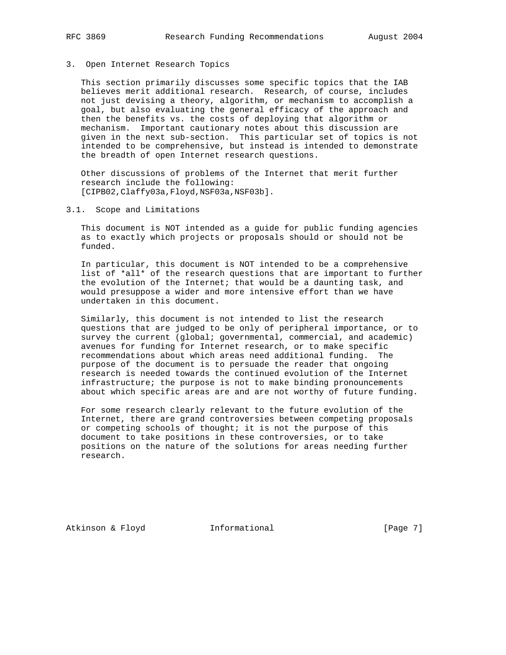3. Open Internet Research Topics

 This section primarily discusses some specific topics that the IAB believes merit additional research. Research, of course, includes not just devising a theory, algorithm, or mechanism to accomplish a goal, but also evaluating the general efficacy of the approach and then the benefits vs. the costs of deploying that algorithm or mechanism. Important cautionary notes about this discussion are given in the next sub-section. This particular set of topics is not intended to be comprehensive, but instead is intended to demonstrate the breadth of open Internet research questions.

 Other discussions of problems of the Internet that merit further research include the following: [CIPB02,Claffy03a,Floyd,NSF03a,NSF03b].

3.1. Scope and Limitations

 This document is NOT intended as a guide for public funding agencies as to exactly which projects or proposals should or should not be funded.

 In particular, this document is NOT intended to be a comprehensive list of \*all\* of the research questions that are important to further the evolution of the Internet; that would be a daunting task, and would presuppose a wider and more intensive effort than we have undertaken in this document.

 Similarly, this document is not intended to list the research questions that are judged to be only of peripheral importance, or to survey the current (global; governmental, commercial, and academic) avenues for funding for Internet research, or to make specific recommendations about which areas need additional funding. The purpose of the document is to persuade the reader that ongoing research is needed towards the continued evolution of the Internet infrastructure; the purpose is not to make binding pronouncements about which specific areas are and are not worthy of future funding.

 For some research clearly relevant to the future evolution of the Internet, there are grand controversies between competing proposals or competing schools of thought; it is not the purpose of this document to take positions in these controversies, or to take positions on the nature of the solutions for areas needing further research.

Atkinson & Floyd **Informational** [Page 7]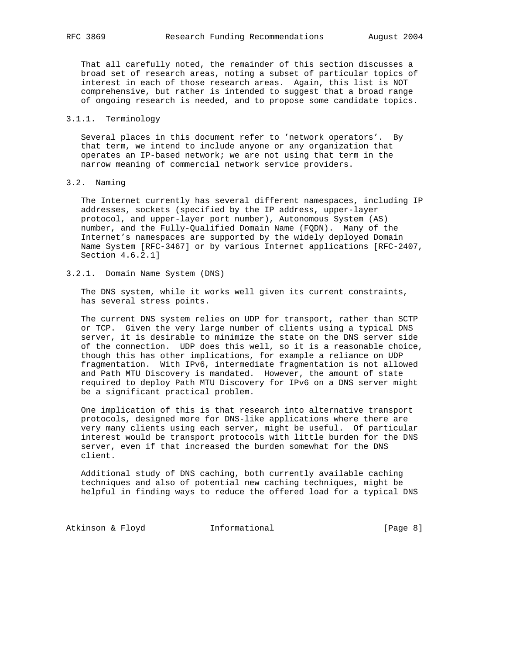That all carefully noted, the remainder of this section discusses a broad set of research areas, noting a subset of particular topics of interest in each of those research areas. Again, this list is NOT comprehensive, but rather is intended to suggest that a broad range of ongoing research is needed, and to propose some candidate topics.

## 3.1.1. Terminology

 Several places in this document refer to 'network operators'. By that term, we intend to include anyone or any organization that operates an IP-based network; we are not using that term in the narrow meaning of commercial network service providers.

# 3.2. Naming

 The Internet currently has several different namespaces, including IP addresses, sockets (specified by the IP address, upper-layer protocol, and upper-layer port number), Autonomous System (AS) number, and the Fully-Qualified Domain Name (FQDN). Many of the Internet's namespaces are supported by the widely deployed Domain Name System [RFC-3467] or by various Internet applications [RFC-2407, Section 4.6.2.1]

## 3.2.1. Domain Name System (DNS)

 The DNS system, while it works well given its current constraints, has several stress points.

 The current DNS system relies on UDP for transport, rather than SCTP or TCP. Given the very large number of clients using a typical DNS server, it is desirable to minimize the state on the DNS server side of the connection. UDP does this well, so it is a reasonable choice, though this has other implications, for example a reliance on UDP fragmentation. With IPv6, intermediate fragmentation is not allowed and Path MTU Discovery is mandated. However, the amount of state required to deploy Path MTU Discovery for IPv6 on a DNS server might be a significant practical problem.

 One implication of this is that research into alternative transport protocols, designed more for DNS-like applications where there are very many clients using each server, might be useful. Of particular interest would be transport protocols with little burden for the DNS server, even if that increased the burden somewhat for the DNS client.

 Additional study of DNS caching, both currently available caching techniques and also of potential new caching techniques, might be helpful in finding ways to reduce the offered load for a typical DNS

Atkinson & Floyd **Informational Informational** [Page 8]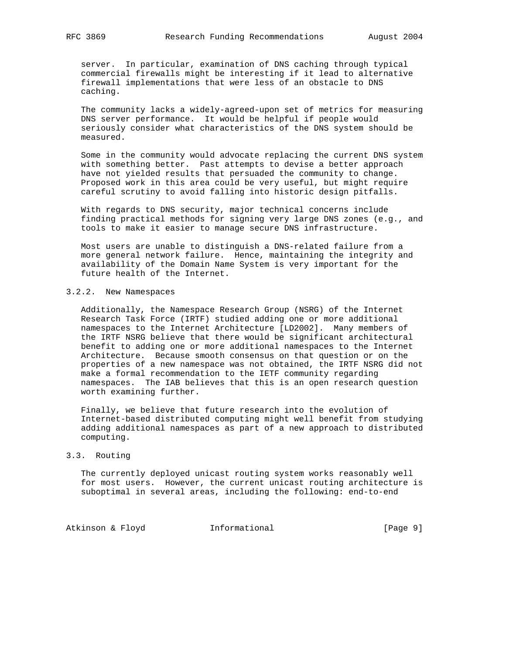server. In particular, examination of DNS caching through typical commercial firewalls might be interesting if it lead to alternative firewall implementations that were less of an obstacle to DNS caching.

 The community lacks a widely-agreed-upon set of metrics for measuring DNS server performance. It would be helpful if people would seriously consider what characteristics of the DNS system should be measured.

 Some in the community would advocate replacing the current DNS system with something better. Past attempts to devise a better approach have not yielded results that persuaded the community to change. Proposed work in this area could be very useful, but might require careful scrutiny to avoid falling into historic design pitfalls.

 With regards to DNS security, major technical concerns include finding practical methods for signing very large DNS zones (e.g., and tools to make it easier to manage secure DNS infrastructure.

 Most users are unable to distinguish a DNS-related failure from a more general network failure. Hence, maintaining the integrity and availability of the Domain Name System is very important for the future health of the Internet.

### 3.2.2. New Namespaces

 Additionally, the Namespace Research Group (NSRG) of the Internet Research Task Force (IRTF) studied adding one or more additional namespaces to the Internet Architecture [LD2002]. Many members of the IRTF NSRG believe that there would be significant architectural benefit to adding one or more additional namespaces to the Internet Architecture. Because smooth consensus on that question or on the properties of a new namespace was not obtained, the IRTF NSRG did not make a formal recommendation to the IETF community regarding namespaces. The IAB believes that this is an open research question worth examining further.

 Finally, we believe that future research into the evolution of Internet-based distributed computing might well benefit from studying adding additional namespaces as part of a new approach to distributed computing.

### 3.3. Routing

 The currently deployed unicast routing system works reasonably well for most users. However, the current unicast routing architecture is suboptimal in several areas, including the following: end-to-end

Atkinson & Floyd **Informational** [Page 9]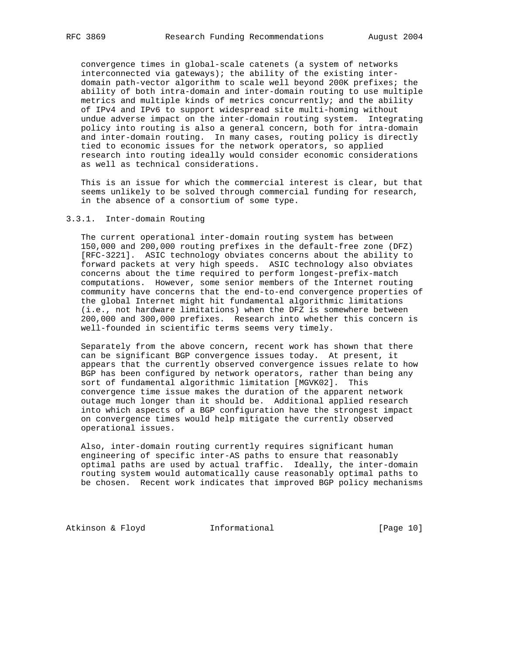convergence times in global-scale catenets (a system of networks interconnected via gateways); the ability of the existing inter domain path-vector algorithm to scale well beyond 200K prefixes; the ability of both intra-domain and inter-domain routing to use multiple metrics and multiple kinds of metrics concurrently; and the ability of IPv4 and IPv6 to support widespread site multi-homing without undue adverse impact on the inter-domain routing system. Integrating policy into routing is also a general concern, both for intra-domain and inter-domain routing. In many cases, routing policy is directly tied to economic issues for the network operators, so applied research into routing ideally would consider economic considerations as well as technical considerations.

 This is an issue for which the commercial interest is clear, but that seems unlikely to be solved through commercial funding for research, in the absence of a consortium of some type.

## 3.3.1. Inter-domain Routing

 The current operational inter-domain routing system has between 150,000 and 200,000 routing prefixes in the default-free zone (DFZ) [RFC-3221]. ASIC technology obviates concerns about the ability to forward packets at very high speeds. ASIC technology also obviates concerns about the time required to perform longest-prefix-match computations. However, some senior members of the Internet routing community have concerns that the end-to-end convergence properties of the global Internet might hit fundamental algorithmic limitations (i.e., not hardware limitations) when the DFZ is somewhere between 200,000 and 300,000 prefixes. Research into whether this concern is well-founded in scientific terms seems very timely.

 Separately from the above concern, recent work has shown that there can be significant BGP convergence issues today. At present, it appears that the currently observed convergence issues relate to how BGP has been configured by network operators, rather than being any sort of fundamental algorithmic limitation [MGVK02]. This convergence time issue makes the duration of the apparent network outage much longer than it should be. Additional applied research into which aspects of a BGP configuration have the strongest impact on convergence times would help mitigate the currently observed operational issues.

 Also, inter-domain routing currently requires significant human engineering of specific inter-AS paths to ensure that reasonably optimal paths are used by actual traffic. Ideally, the inter-domain routing system would automatically cause reasonably optimal paths to be chosen. Recent work indicates that improved BGP policy mechanisms

Atkinson & Floyd **Informational** [Page 10]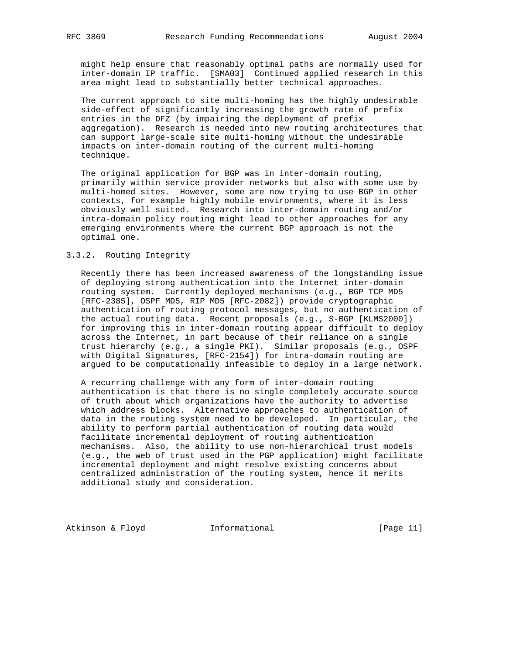might help ensure that reasonably optimal paths are normally used for inter-domain IP traffic. [SMA03] Continued applied research in this area might lead to substantially better technical approaches.

 The current approach to site multi-homing has the highly undesirable side-effect of significantly increasing the growth rate of prefix entries in the DFZ (by impairing the deployment of prefix aggregation). Research is needed into new routing architectures that can support large-scale site multi-homing without the undesirable impacts on inter-domain routing of the current multi-homing technique.

 The original application for BGP was in inter-domain routing, primarily within service provider networks but also with some use by multi-homed sites. However, some are now trying to use BGP in other contexts, for example highly mobile environments, where it is less obviously well suited. Research into inter-domain routing and/or intra-domain policy routing might lead to other approaches for any emerging environments where the current BGP approach is not the optimal one.

## 3.3.2. Routing Integrity

 Recently there has been increased awareness of the longstanding issue of deploying strong authentication into the Internet inter-domain routing system. Currently deployed mechanisms (e.g., BGP TCP MD5 [RFC-2385], OSPF MD5, RIP MD5 [RFC-2082]) provide cryptographic authentication of routing protocol messages, but no authentication of the actual routing data. Recent proposals (e.g., S-BGP [KLMS2000]) for improving this in inter-domain routing appear difficult to deploy across the Internet, in part because of their reliance on a single trust hierarchy (e.g., a single PKI). Similar proposals (e.g., OSPF with Digital Signatures, [RFC-2154]) for intra-domain routing are argued to be computationally infeasible to deploy in a large network.

 A recurring challenge with any form of inter-domain routing authentication is that there is no single completely accurate source of truth about which organizations have the authority to advertise which address blocks. Alternative approaches to authentication of data in the routing system need to be developed. In particular, the ability to perform partial authentication of routing data would facilitate incremental deployment of routing authentication mechanisms. Also, the ability to use non-hierarchical trust models (e.g., the web of trust used in the PGP application) might facilitate incremental deployment and might resolve existing concerns about centralized administration of the routing system, hence it merits additional study and consideration.

Atkinson & Floyd **Informational** [Page 11]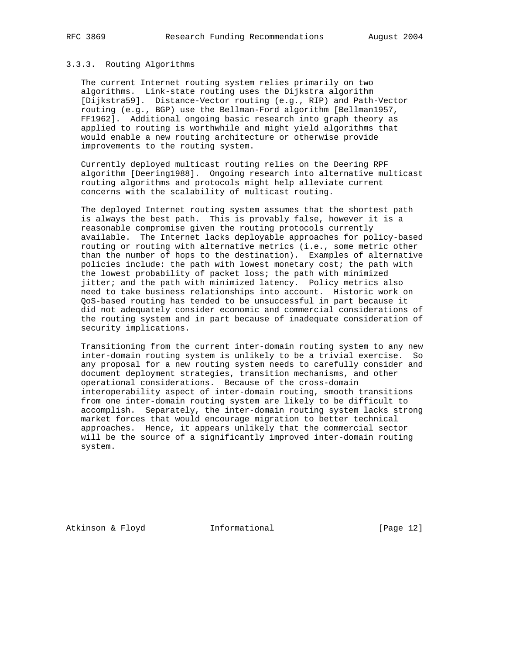#### 3.3.3. Routing Algorithms

 The current Internet routing system relies primarily on two algorithms. Link-state routing uses the Dijkstra algorithm [Dijkstra59]. Distance-Vector routing (e.g., RIP) and Path-Vector routing (e.g., BGP) use the Bellman-Ford algorithm [Bellman1957, FF1962]. Additional ongoing basic research into graph theory as applied to routing is worthwhile and might yield algorithms that would enable a new routing architecture or otherwise provide improvements to the routing system.

 Currently deployed multicast routing relies on the Deering RPF algorithm [Deering1988]. Ongoing research into alternative multicast routing algorithms and protocols might help alleviate current concerns with the scalability of multicast routing.

 The deployed Internet routing system assumes that the shortest path is always the best path. This is provably false, however it is a reasonable compromise given the routing protocols currently available. The Internet lacks deployable approaches for policy-based routing or routing with alternative metrics (i.e., some metric other than the number of hops to the destination). Examples of alternative policies include: the path with lowest monetary cost; the path with the lowest probability of packet loss; the path with minimized jitter; and the path with minimized latency. Policy metrics also need to take business relationships into account. Historic work on QoS-based routing has tended to be unsuccessful in part because it did not adequately consider economic and commercial considerations of the routing system and in part because of inadequate consideration of security implications.

 Transitioning from the current inter-domain routing system to any new inter-domain routing system is unlikely to be a trivial exercise. So any proposal for a new routing system needs to carefully consider and document deployment strategies, transition mechanisms, and other operational considerations. Because of the cross-domain interoperability aspect of inter-domain routing, smooth transitions from one inter-domain routing system are likely to be difficult to accomplish. Separately, the inter-domain routing system lacks strong market forces that would encourage migration to better technical approaches. Hence, it appears unlikely that the commercial sector will be the source of a significantly improved inter-domain routing system.

Atkinson & Floyd Informational [Page 12]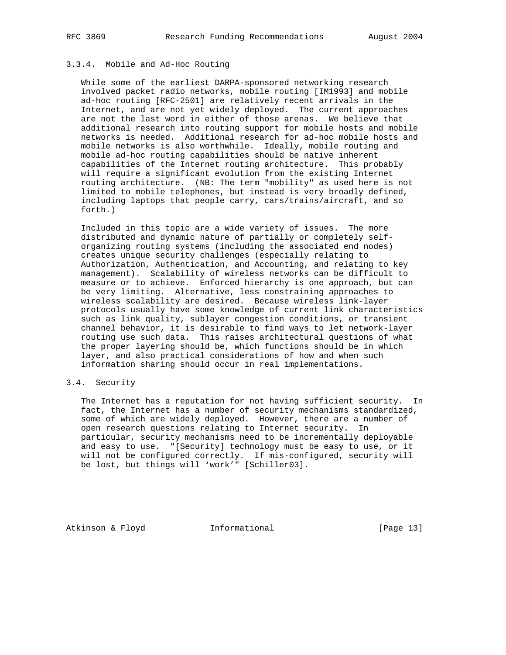## 3.3.4. Mobile and Ad-Hoc Routing

 While some of the earliest DARPA-sponsored networking research involved packet radio networks, mobile routing [IM1993] and mobile ad-hoc routing [RFC-2501] are relatively recent arrivals in the Internet, and are not yet widely deployed. The current approaches are not the last word in either of those arenas. We believe that additional research into routing support for mobile hosts and mobile networks is needed. Additional research for ad-hoc mobile hosts and mobile networks is also worthwhile. Ideally, mobile routing and mobile ad-hoc routing capabilities should be native inherent capabilities of the Internet routing architecture. This probably will require a significant evolution from the existing Internet routing architecture. (NB: The term "mobility" as used here is not limited to mobile telephones, but instead is very broadly defined, including laptops that people carry, cars/trains/aircraft, and so forth.)

 Included in this topic are a wide variety of issues. The more distributed and dynamic nature of partially or completely self organizing routing systems (including the associated end nodes) creates unique security challenges (especially relating to Authorization, Authentication, and Accounting, and relating to key management). Scalability of wireless networks can be difficult to measure or to achieve. Enforced hierarchy is one approach, but can be very limiting. Alternative, less constraining approaches to wireless scalability are desired. Because wireless link-layer protocols usually have some knowledge of current link characteristics such as link quality, sublayer congestion conditions, or transient channel behavior, it is desirable to find ways to let network-layer routing use such data. This raises architectural questions of what the proper layering should be, which functions should be in which layer, and also practical considerations of how and when such information sharing should occur in real implementations.

## 3.4. Security

 The Internet has a reputation for not having sufficient security. In fact, the Internet has a number of security mechanisms standardized, some of which are widely deployed. However, there are a number of open research questions relating to Internet security. In particular, security mechanisms need to be incrementally deployable and easy to use. "[Security] technology must be easy to use, or it will not be configured correctly. If mis-configured, security will be lost, but things will 'work'" [Schiller03].

Atkinson & Floyd **Informational** [Page 13]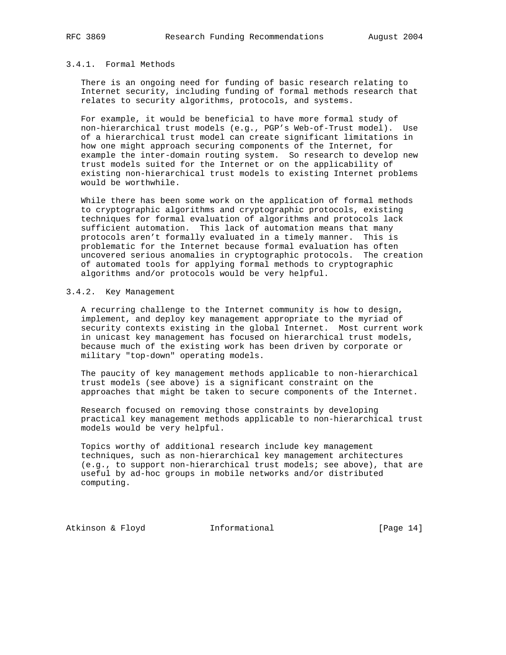## 3.4.1. Formal Methods

 There is an ongoing need for funding of basic research relating to Internet security, including funding of formal methods research that relates to security algorithms, protocols, and systems.

 For example, it would be beneficial to have more formal study of non-hierarchical trust models (e.g., PGP's Web-of-Trust model). Use of a hierarchical trust model can create significant limitations in how one might approach securing components of the Internet, for example the inter-domain routing system. So research to develop new trust models suited for the Internet or on the applicability of existing non-hierarchical trust models to existing Internet problems would be worthwhile.

 While there has been some work on the application of formal methods to cryptographic algorithms and cryptographic protocols, existing techniques for formal evaluation of algorithms and protocols lack sufficient automation. This lack of automation means that many protocols aren't formally evaluated in a timely manner. This is problematic for the Internet because formal evaluation has often uncovered serious anomalies in cryptographic protocols. The creation of automated tools for applying formal methods to cryptographic algorithms and/or protocols would be very helpful.

### 3.4.2. Key Management

 A recurring challenge to the Internet community is how to design, implement, and deploy key management appropriate to the myriad of security contexts existing in the global Internet. Most current work in unicast key management has focused on hierarchical trust models, because much of the existing work has been driven by corporate or military "top-down" operating models.

 The paucity of key management methods applicable to non-hierarchical trust models (see above) is a significant constraint on the approaches that might be taken to secure components of the Internet.

 Research focused on removing those constraints by developing practical key management methods applicable to non-hierarchical trust models would be very helpful.

 Topics worthy of additional research include key management techniques, such as non-hierarchical key management architectures (e.g., to support non-hierarchical trust models; see above), that are useful by ad-hoc groups in mobile networks and/or distributed computing.

Atkinson & Floyd **Informational** [Page 14]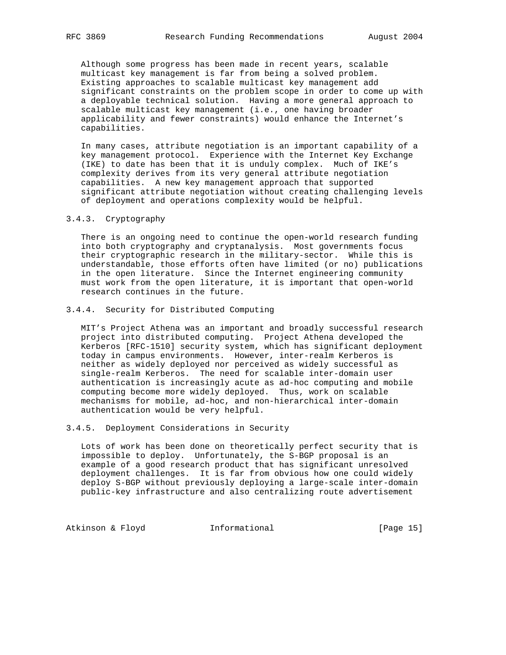Although some progress has been made in recent years, scalable multicast key management is far from being a solved problem. Existing approaches to scalable multicast key management add significant constraints on the problem scope in order to come up with a deployable technical solution. Having a more general approach to scalable multicast key management (i.e., one having broader applicability and fewer constraints) would enhance the Internet's capabilities.

 In many cases, attribute negotiation is an important capability of a key management protocol. Experience with the Internet Key Exchange (IKE) to date has been that it is unduly complex. Much of IKE's complexity derives from its very general attribute negotiation capabilities. A new key management approach that supported significant attribute negotiation without creating challenging levels of deployment and operations complexity would be helpful.

## 3.4.3. Cryptography

 There is an ongoing need to continue the open-world research funding into both cryptography and cryptanalysis. Most governments focus their cryptographic research in the military-sector. While this is understandable, those efforts often have limited (or no) publications in the open literature. Since the Internet engineering community must work from the open literature, it is important that open-world research continues in the future.

## 3.4.4. Security for Distributed Computing

 MIT's Project Athena was an important and broadly successful research project into distributed computing. Project Athena developed the Kerberos [RFC-1510] security system, which has significant deployment today in campus environments. However, inter-realm Kerberos is neither as widely deployed nor perceived as widely successful as single-realm Kerberos. The need for scalable inter-domain user authentication is increasingly acute as ad-hoc computing and mobile computing become more widely deployed. Thus, work on scalable mechanisms for mobile, ad-hoc, and non-hierarchical inter-domain authentication would be very helpful.

## 3.4.5. Deployment Considerations in Security

 Lots of work has been done on theoretically perfect security that is impossible to deploy. Unfortunately, the S-BGP proposal is an example of a good research product that has significant unresolved deployment challenges. It is far from obvious how one could widely deploy S-BGP without previously deploying a large-scale inter-domain public-key infrastructure and also centralizing route advertisement

Atkinson & Floyd **Informational** [Page 15]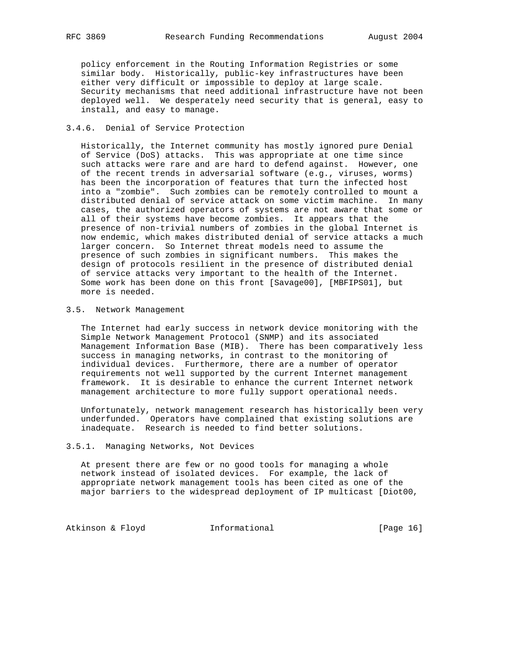policy enforcement in the Routing Information Registries or some similar body. Historically, public-key infrastructures have been either very difficult or impossible to deploy at large scale. Security mechanisms that need additional infrastructure have not been deployed well. We desperately need security that is general, easy to install, and easy to manage.

## 3.4.6. Denial of Service Protection

 Historically, the Internet community has mostly ignored pure Denial of Service (DoS) attacks. This was appropriate at one time since such attacks were rare and are hard to defend against. However, one of the recent trends in adversarial software (e.g., viruses, worms) has been the incorporation of features that turn the infected host into a "zombie". Such zombies can be remotely controlled to mount a distributed denial of service attack on some victim machine. In many cases, the authorized operators of systems are not aware that some or all of their systems have become zombies. It appears that the presence of non-trivial numbers of zombies in the global Internet is now endemic, which makes distributed denial of service attacks a much larger concern. So Internet threat models need to assume the presence of such zombies in significant numbers. This makes the design of protocols resilient in the presence of distributed denial of service attacks very important to the health of the Internet. Some work has been done on this front [Savage00], [MBFIPS01], but more is needed.

## 3.5. Network Management

 The Internet had early success in network device monitoring with the Simple Network Management Protocol (SNMP) and its associated Management Information Base (MIB). There has been comparatively less success in managing networks, in contrast to the monitoring of individual devices. Furthermore, there are a number of operator requirements not well supported by the current Internet management framework. It is desirable to enhance the current Internet network management architecture to more fully support operational needs.

 Unfortunately, network management research has historically been very underfunded. Operators have complained that existing solutions are inadequate. Research is needed to find better solutions.

# 3.5.1. Managing Networks, Not Devices

 At present there are few or no good tools for managing a whole network instead of isolated devices. For example, the lack of appropriate network management tools has been cited as one of the major barriers to the widespread deployment of IP multicast [Diot00,

Atkinson & Floyd **Informational** [Page 16]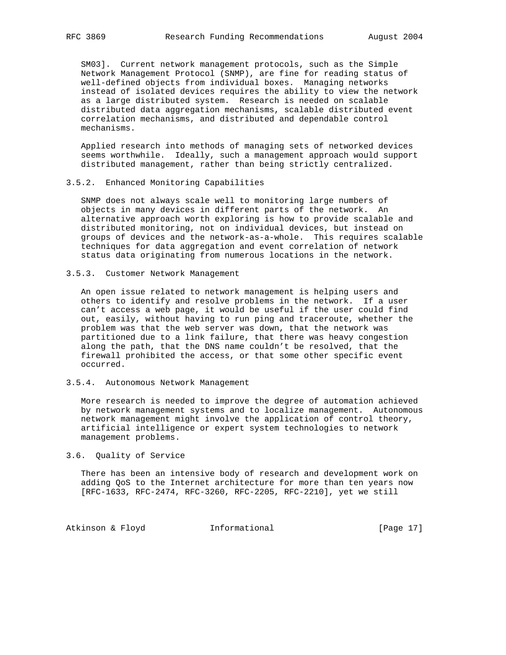SM03]. Current network management protocols, such as the Simple Network Management Protocol (SNMP), are fine for reading status of well-defined objects from individual boxes. Managing networks instead of isolated devices requires the ability to view the network as a large distributed system. Research is needed on scalable distributed data aggregation mechanisms, scalable distributed event correlation mechanisms, and distributed and dependable control mechanisms.

 Applied research into methods of managing sets of networked devices seems worthwhile. Ideally, such a management approach would support distributed management, rather than being strictly centralized.

#### 3.5.2. Enhanced Monitoring Capabilities

 SNMP does not always scale well to monitoring large numbers of objects in many devices in different parts of the network. An alternative approach worth exploring is how to provide scalable and distributed monitoring, not on individual devices, but instead on groups of devices and the network-as-a-whole. This requires scalable techniques for data aggregation and event correlation of network status data originating from numerous locations in the network.

## 3.5.3. Customer Network Management

 An open issue related to network management is helping users and others to identify and resolve problems in the network. If a user can't access a web page, it would be useful if the user could find out, easily, without having to run ping and traceroute, whether the problem was that the web server was down, that the network was partitioned due to a link failure, that there was heavy congestion along the path, that the DNS name couldn't be resolved, that the firewall prohibited the access, or that some other specific event occurred.

## 3.5.4. Autonomous Network Management

 More research is needed to improve the degree of automation achieved by network management systems and to localize management. Autonomous network management might involve the application of control theory, artificial intelligence or expert system technologies to network management problems.

#### 3.6. Quality of Service

 There has been an intensive body of research and development work on adding QoS to the Internet architecture for more than ten years now [RFC-1633, RFC-2474, RFC-3260, RFC-2205, RFC-2210], yet we still

Atkinson & Floyd **Informational** [Page 17]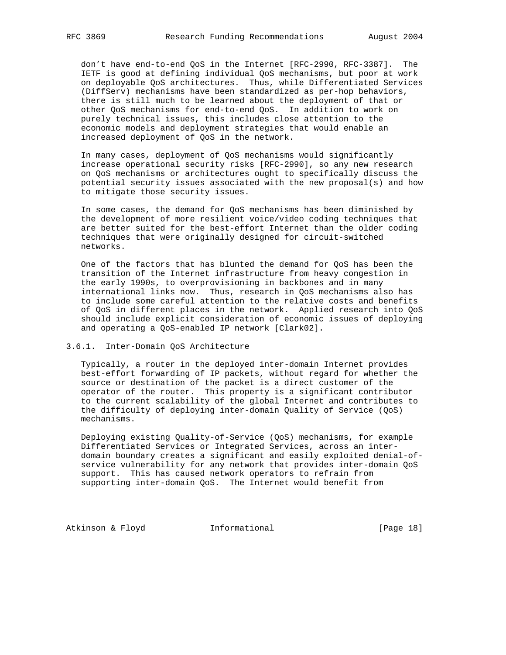don't have end-to-end QoS in the Internet [RFC-2990, RFC-3387]. The IETF is good at defining individual QoS mechanisms, but poor at work on deployable QoS architectures. Thus, while Differentiated Services (DiffServ) mechanisms have been standardized as per-hop behaviors, there is still much to be learned about the deployment of that or other QoS mechanisms for end-to-end QoS. In addition to work on purely technical issues, this includes close attention to the economic models and deployment strategies that would enable an increased deployment of QoS in the network.

 In many cases, deployment of QoS mechanisms would significantly increase operational security risks [RFC-2990], so any new research on QoS mechanisms or architectures ought to specifically discuss the potential security issues associated with the new proposal(s) and how to mitigate those security issues.

 In some cases, the demand for QoS mechanisms has been diminished by the development of more resilient voice/video coding techniques that are better suited for the best-effort Internet than the older coding techniques that were originally designed for circuit-switched networks.

 One of the factors that has blunted the demand for QoS has been the transition of the Internet infrastructure from heavy congestion in the early 1990s, to overprovisioning in backbones and in many international links now. Thus, research in QoS mechanisms also has to include some careful attention to the relative costs and benefits of QoS in different places in the network. Applied research into QoS should include explicit consideration of economic issues of deploying and operating a QoS-enabled IP network [Clark02].

#### 3.6.1. Inter-Domain QoS Architecture

 Typically, a router in the deployed inter-domain Internet provides best-effort forwarding of IP packets, without regard for whether the source or destination of the packet is a direct customer of the operator of the router. This property is a significant contributor to the current scalability of the global Internet and contributes to the difficulty of deploying inter-domain Quality of Service (QoS) mechanisms.

 Deploying existing Quality-of-Service (QoS) mechanisms, for example Differentiated Services or Integrated Services, across an inter domain boundary creates a significant and easily exploited denial-of service vulnerability for any network that provides inter-domain QoS support. This has caused network operators to refrain from supporting inter-domain QoS. The Internet would benefit from

Atkinson & Floyd **Informational** [Page 18]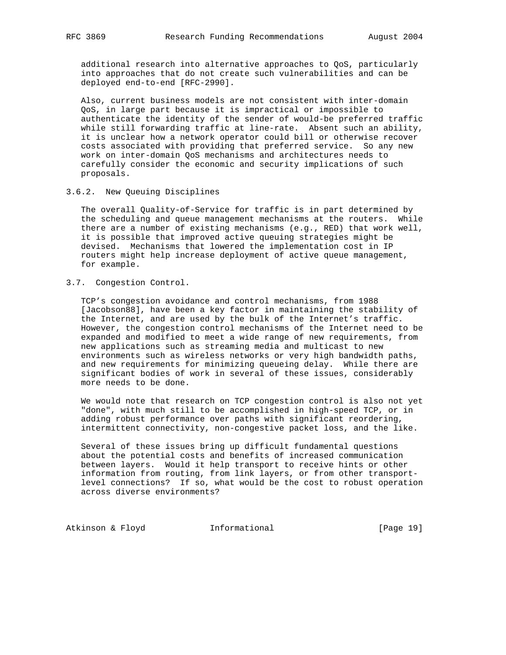additional research into alternative approaches to QoS, particularly into approaches that do not create such vulnerabilities and can be deployed end-to-end [RFC-2990].

 Also, current business models are not consistent with inter-domain QoS, in large part because it is impractical or impossible to authenticate the identity of the sender of would-be preferred traffic while still forwarding traffic at line-rate. Absent such an ability, it is unclear how a network operator could bill or otherwise recover costs associated with providing that preferred service. So any new work on inter-domain QoS mechanisms and architectures needs to carefully consider the economic and security implications of such proposals.

3.6.2. New Queuing Disciplines

 The overall Quality-of-Service for traffic is in part determined by the scheduling and queue management mechanisms at the routers. While there are a number of existing mechanisms (e.g., RED) that work well, it is possible that improved active queuing strategies might be devised. Mechanisms that lowered the implementation cost in IP routers might help increase deployment of active queue management, for example.

3.7. Congestion Control.

 TCP's congestion avoidance and control mechanisms, from 1988 [Jacobson88], have been a key factor in maintaining the stability of the Internet, and are used by the bulk of the Internet's traffic. However, the congestion control mechanisms of the Internet need to be expanded and modified to meet a wide range of new requirements, from new applications such as streaming media and multicast to new environments such as wireless networks or very high bandwidth paths, and new requirements for minimizing queueing delay. While there are significant bodies of work in several of these issues, considerably more needs to be done.

 We would note that research on TCP congestion control is also not yet "done", with much still to be accomplished in high-speed TCP, or in adding robust performance over paths with significant reordering, intermittent connectivity, non-congestive packet loss, and the like.

 Several of these issues bring up difficult fundamental questions about the potential costs and benefits of increased communication between layers. Would it help transport to receive hints or other information from routing, from link layers, or from other transport level connections? If so, what would be the cost to robust operation across diverse environments?

Atkinson & Floyd **Informational** [Page 19]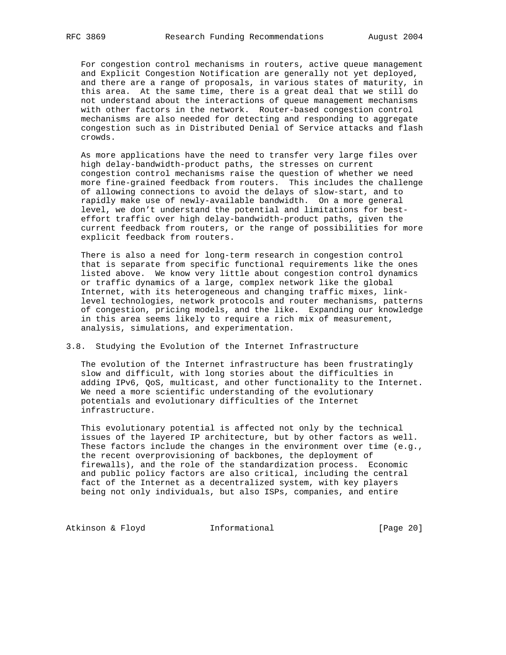For congestion control mechanisms in routers, active queue management and Explicit Congestion Notification are generally not yet deployed, and there are a range of proposals, in various states of maturity, in this area. At the same time, there is a great deal that we still do not understand about the interactions of queue management mechanisms with other factors in the network. Router-based congestion control mechanisms are also needed for detecting and responding to aggregate congestion such as in Distributed Denial of Service attacks and flash crowds.

 As more applications have the need to transfer very large files over high delay-bandwidth-product paths, the stresses on current congestion control mechanisms raise the question of whether we need more fine-grained feedback from routers. This includes the challenge of allowing connections to avoid the delays of slow-start, and to rapidly make use of newly-available bandwidth. On a more general level, we don't understand the potential and limitations for best effort traffic over high delay-bandwidth-product paths, given the current feedback from routers, or the range of possibilities for more explicit feedback from routers.

 There is also a need for long-term research in congestion control that is separate from specific functional requirements like the ones listed above. We know very little about congestion control dynamics or traffic dynamics of a large, complex network like the global Internet, with its heterogeneous and changing traffic mixes, link level technologies, network protocols and router mechanisms, patterns of congestion, pricing models, and the like. Expanding our knowledge in this area seems likely to require a rich mix of measurement, analysis, simulations, and experimentation.

## 3.8. Studying the Evolution of the Internet Infrastructure

 The evolution of the Internet infrastructure has been frustratingly slow and difficult, with long stories about the difficulties in adding IPv6, QoS, multicast, and other functionality to the Internet. We need a more scientific understanding of the evolutionary potentials and evolutionary difficulties of the Internet infrastructure.

 This evolutionary potential is affected not only by the technical issues of the layered IP architecture, but by other factors as well. These factors include the changes in the environment over time (e.g., the recent overprovisioning of backbones, the deployment of firewalls), and the role of the standardization process. Economic and public policy factors are also critical, including the central fact of the Internet as a decentralized system, with key players being not only individuals, but also ISPs, companies, and entire

Atkinson & Floyd **Informational** [Page 20]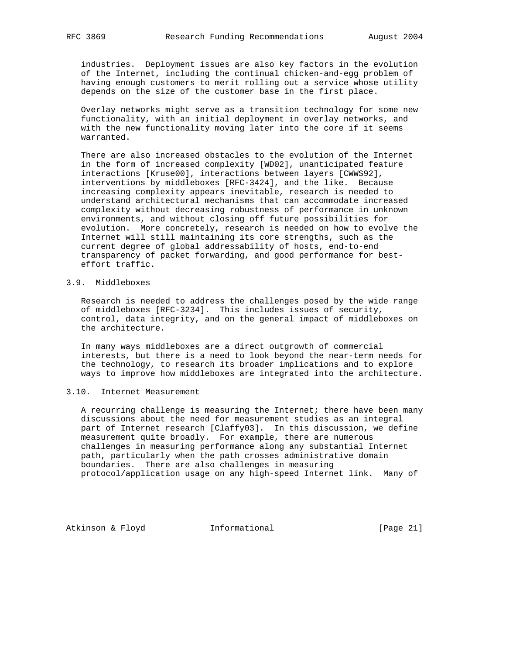industries. Deployment issues are also key factors in the evolution of the Internet, including the continual chicken-and-egg problem of having enough customers to merit rolling out a service whose utility depends on the size of the customer base in the first place.

 Overlay networks might serve as a transition technology for some new functionality, with an initial deployment in overlay networks, and with the new functionality moving later into the core if it seems warranted.

 There are also increased obstacles to the evolution of the Internet in the form of increased complexity [WD02], unanticipated feature interactions [Kruse00], interactions between layers [CWWS92], interventions by middleboxes [RFC-3424], and the like. Because increasing complexity appears inevitable, research is needed to understand architectural mechanisms that can accommodate increased complexity without decreasing robustness of performance in unknown environments, and without closing off future possibilities for evolution. More concretely, research is needed on how to evolve the Internet will still maintaining its core strengths, such as the current degree of global addressability of hosts, end-to-end transparency of packet forwarding, and good performance for best effort traffic.

# 3.9. Middleboxes

 Research is needed to address the challenges posed by the wide range of middleboxes [RFC-3234]. This includes issues of security, control, data integrity, and on the general impact of middleboxes on the architecture.

 In many ways middleboxes are a direct outgrowth of commercial interests, but there is a need to look beyond the near-term needs for the technology, to research its broader implications and to explore ways to improve how middleboxes are integrated into the architecture.

## 3.10. Internet Measurement

 A recurring challenge is measuring the Internet; there have been many discussions about the need for measurement studies as an integral part of Internet research [Claffy03]. In this discussion, we define measurement quite broadly. For example, there are numerous challenges in measuring performance along any substantial Internet path, particularly when the path crosses administrative domain boundaries. There are also challenges in measuring protocol/application usage on any high-speed Internet link. Many of

Atkinson & Floyd **Informational** [Page 21]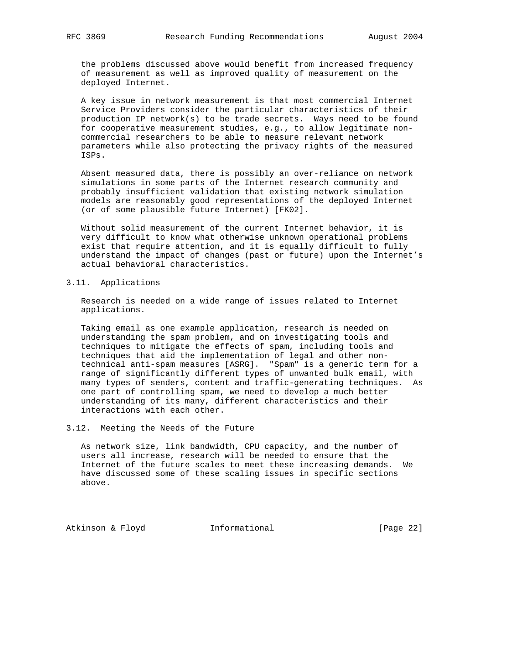the problems discussed above would benefit from increased frequency of measurement as well as improved quality of measurement on the deployed Internet.

 A key issue in network measurement is that most commercial Internet Service Providers consider the particular characteristics of their production IP network(s) to be trade secrets. Ways need to be found for cooperative measurement studies, e.g., to allow legitimate non commercial researchers to be able to measure relevant network parameters while also protecting the privacy rights of the measured ISPs.

 Absent measured data, there is possibly an over-reliance on network simulations in some parts of the Internet research community and probably insufficient validation that existing network simulation models are reasonably good representations of the deployed Internet (or of some plausible future Internet) [FK02].

 Without solid measurement of the current Internet behavior, it is very difficult to know what otherwise unknown operational problems exist that require attention, and it is equally difficult to fully understand the impact of changes (past or future) upon the Internet's actual behavioral characteristics.

3.11. Applications

 Research is needed on a wide range of issues related to Internet applications.

 Taking email as one example application, research is needed on understanding the spam problem, and on investigating tools and techniques to mitigate the effects of spam, including tools and techniques that aid the implementation of legal and other non technical anti-spam measures [ASRG]. "Spam" is a generic term for a range of significantly different types of unwanted bulk email, with many types of senders, content and traffic-generating techniques. As one part of controlling spam, we need to develop a much better understanding of its many, different characteristics and their interactions with each other.

3.12. Meeting the Needs of the Future

 As network size, link bandwidth, CPU capacity, and the number of users all increase, research will be needed to ensure that the Internet of the future scales to meet these increasing demands. We have discussed some of these scaling issues in specific sections above.

Atkinson & Floyd **Informational** [Page 22]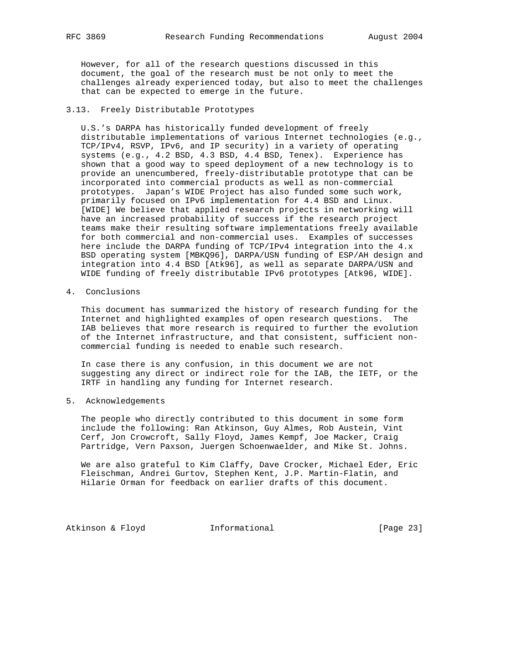However, for all of the research questions discussed in this document, the goal of the research must be not only to meet the challenges already experienced today, but also to meet the challenges that can be expected to emerge in the future.

## 3.13. Freely Distributable Prototypes

 U.S.'s DARPA has historically funded development of freely distributable implementations of various Internet technologies (e.g., TCP/IPv4, RSVP, IPv6, and IP security) in a variety of operating systems (e.g., 4.2 BSD, 4.3 BSD, 4.4 BSD, Tenex). Experience has shown that a good way to speed deployment of a new technology is to provide an unencumbered, freely-distributable prototype that can be incorporated into commercial products as well as non-commercial prototypes. Japan's WIDE Project has also funded some such work, primarily focused on IPv6 implementation for 4.4 BSD and Linux. [WIDE] We believe that applied research projects in networking will have an increased probability of success if the research project teams make their resulting software implementations freely available for both commercial and non-commercial uses. Examples of successes here include the DARPA funding of TCP/IPv4 integration into the 4.x BSD operating system [MBKQ96], DARPA/USN funding of ESP/AH design and integration into 4.4 BSD [Atk96], as well as separate DARPA/USN and WIDE funding of freely distributable IPv6 prototypes [Atk96, WIDE].

4. Conclusions

 This document has summarized the history of research funding for the Internet and highlighted examples of open research questions. The IAB believes that more research is required to further the evolution of the Internet infrastructure, and that consistent, sufficient non commercial funding is needed to enable such research.

 In case there is any confusion, in this document we are not suggesting any direct or indirect role for the IAB, the IETF, or the IRTF in handling any funding for Internet research.

5. Acknowledgements

 The people who directly contributed to this document in some form include the following: Ran Atkinson, Guy Almes, Rob Austein, Vint Cerf, Jon Crowcroft, Sally Floyd, James Kempf, Joe Macker, Craig Partridge, Vern Paxson, Juergen Schoenwaelder, and Mike St. Johns.

 We are also grateful to Kim Claffy, Dave Crocker, Michael Eder, Eric Fleischman, Andrei Gurtov, Stephen Kent, J.P. Martin-Flatin, and Hilarie Orman for feedback on earlier drafts of this document.

Atkinson & Floyd **Informational** [Page 23]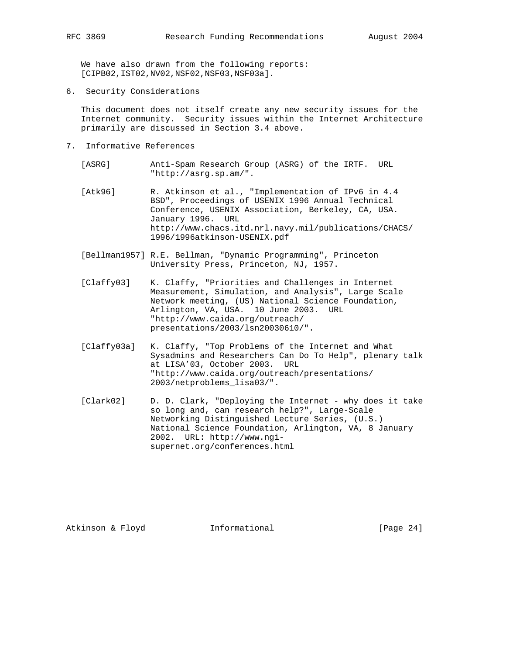We have also drawn from the following reports:

- [CIPB02,IST02,NV02,NSF02,NSF03,NSF03a].
- 6. Security Considerations

 This document does not itself create any new security issues for the Internet community. Security issues within the Internet Architecture primarily are discussed in Section 3.4 above.

- 7. Informative References
	- [ASRG] Anti-Spam Research Group (ASRG) of the IRTF. URL "http://asrg.sp.am/".
	- [Atk96] R. Atkinson et al., "Implementation of IPv6 in 4.4 BSD", Proceedings of USENIX 1996 Annual Technical Conference, USENIX Association, Berkeley, CA, USA. January 1996. URL http://www.chacs.itd.nrl.navy.mil/publications/CHACS/ 1996/1996atkinson-USENIX.pdf
	- [Bellman1957] R.E. Bellman, "Dynamic Programming", Princeton University Press, Princeton, NJ, 1957.
	- [Claffy03] K. Claffy, "Priorities and Challenges in Internet Measurement, Simulation, and Analysis", Large Scale Network meeting, (US) National Science Foundation, Arlington, VA, USA. 10 June 2003. URL "http://www.caida.org/outreach/ presentations/2003/lsn20030610/".
	- [Claffy03a] K. Claffy, "Top Problems of the Internet and What Sysadmins and Researchers Can Do To Help", plenary talk at LISA'03, October 2003. URL "http://www.caida.org/outreach/presentations/ 2003/netproblems\_lisa03/".
	- [Clark02] D. D. Clark, "Deploying the Internet why does it take so long and, can research help?", Large-Scale Networking Distinguished Lecture Series, (U.S.) National Science Foundation, Arlington, VA, 8 January 2002. URL: http://www.ngi supernet.org/conferences.html

Atkinson & Floyd **Informational** [Page 24]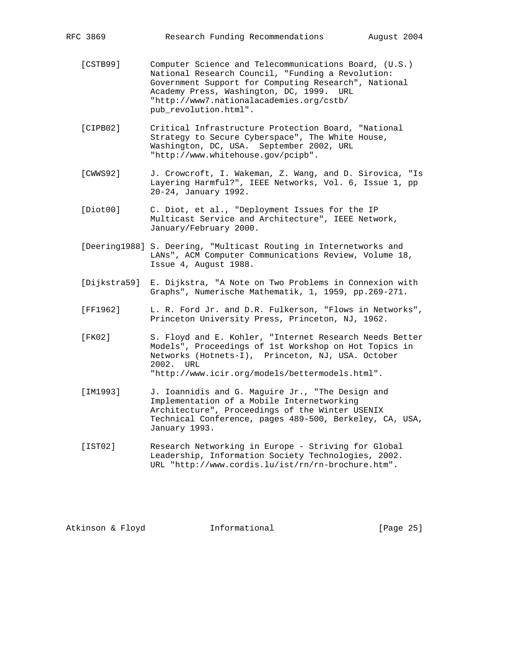| RFC 3869 | Research Funding Recommendations<br>August 2004                                                                                                                                                                                                                                     |  |
|----------|-------------------------------------------------------------------------------------------------------------------------------------------------------------------------------------------------------------------------------------------------------------------------------------|--|
| [CSTB99] | Computer Science and Telecommunications Board, (U.S.)<br>National Research Council, "Funding a Revolution:<br>Government Support for Computing Research", National<br>Academy Press, Washington, DC, 1999. URL<br>"http://www7.nationalacademies.org/cstb/<br>pub_revolution.html". |  |
| [CIPB02] | Critical Infrastructure Protection Board, "National<br>Strategy to Secure Cyberspace", The White House,<br>Washington, DC, USA. September 2002, URL<br>"http://www.whitehouse.gov/pcipb".                                                                                           |  |
| [CWWS92] | J. Crowcroft, I. Wakeman, Z. Wang, and D. Sirovica, "Is<br>Layering Harmful?", IEEE Networks, Vol. 6, Issue 1, pp<br>20-24, January 1992.                                                                                                                                           |  |

- [Diot00] C. Diot, et al., "Deployment Issues for the IP Multicast Service and Architecture", IEEE Network, January/February 2000.
- [Deering1988] S. Deering, "Multicast Routing in Internetworks and LANs", ACM Computer Communications Review, Volume 18, Issue 4, August 1988.
- [Dijkstra59] E. Dijkstra, "A Note on Two Problems in Connexion with Graphs", Numerische Mathematik, 1, 1959, pp.269-271.
- [FF1962] L. R. Ford Jr. and D.R. Fulkerson, "Flows in Networks", Princeton University Press, Princeton, NJ, 1962.
- [FK02] S. Floyd and E. Kohler, "Internet Research Needs Better Models", Proceedings of 1st Workshop on Hot Topics in Networks (Hotnets-I), Princeton, NJ, USA. October 2002. URL "http://www.icir.org/models/bettermodels.html".
- [IM1993] J. Ioannidis and G. Maguire Jr., "The Design and Implementation of a Mobile Internetworking Architecture", Proceedings of the Winter USENIX Technical Conference, pages 489-500, Berkeley, CA, USA, January 1993.
- [IST02] Research Networking in Europe Striving for Global Leadership, Information Society Technologies, 2002. URL "http://www.cordis.lu/ist/rn/rn-brochure.htm".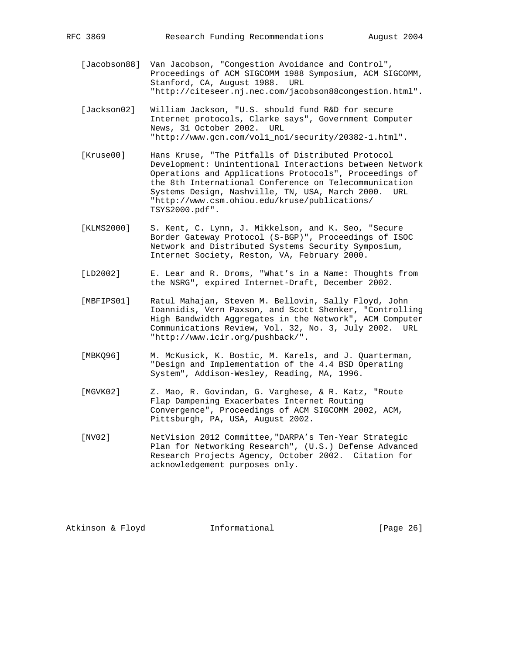- [Jacobson88] Van Jacobson, "Congestion Avoidance and Control", Proceedings of ACM SIGCOMM 1988 Symposium, ACM SIGCOMM, Stanford, CA, August 1988. URL "http://citeseer.nj.nec.com/jacobson88congestion.html".
- [Jackson02] William Jackson, "U.S. should fund R&D for secure Internet protocols, Clarke says", Government Computer News, 31 October 2002. URL "http://www.gcn.com/vol1\_no1/security/20382-1.html".
- [Kruse00] Hans Kruse, "The Pitfalls of Distributed Protocol Development: Unintentional Interactions between Network Operations and Applications Protocols", Proceedings of the 8th International Conference on Telecommunication Systems Design, Nashville, TN, USA, March 2000. URL "http://www.csm.ohiou.edu/kruse/publications/ TSYS2000.pdf".
- [KLMS2000] S. Kent, C. Lynn, J. Mikkelson, and K. Seo, "Secure Border Gateway Protocol (S-BGP)", Proceedings of ISOC Network and Distributed Systems Security Symposium, Internet Society, Reston, VA, February 2000.
- [LD2002] E. Lear and R. Droms, "What's in a Name: Thoughts from the NSRG", expired Internet-Draft, December 2002.
- [MBFIPS01] Ratul Mahajan, Steven M. Bellovin, Sally Floyd, John Ioannidis, Vern Paxson, and Scott Shenker, "Controlling High Bandwidth Aggregates in the Network", ACM Computer Communications Review, Vol. 32, No. 3, July 2002. URL "http://www.icir.org/pushback/".
- [MBKQ96] M. McKusick, K. Bostic, M. Karels, and J. Quarterman, "Design and Implementation of the 4.4 BSD Operating System", Addison-Wesley, Reading, MA, 1996.
- [MGVK02] Z. Mao, R. Govindan, G. Varghese, & R. Katz, "Route Flap Dampening Exacerbates Internet Routing Convergence", Proceedings of ACM SIGCOMM 2002, ACM, Pittsburgh, PA, USA, August 2002.
- [NV02] NetVision 2012 Committee,"DARPA's Ten-Year Strategic Plan for Networking Research", (U.S.) Defense Advanced Research Projects Agency, October 2002. Citation for acknowledgement purposes only.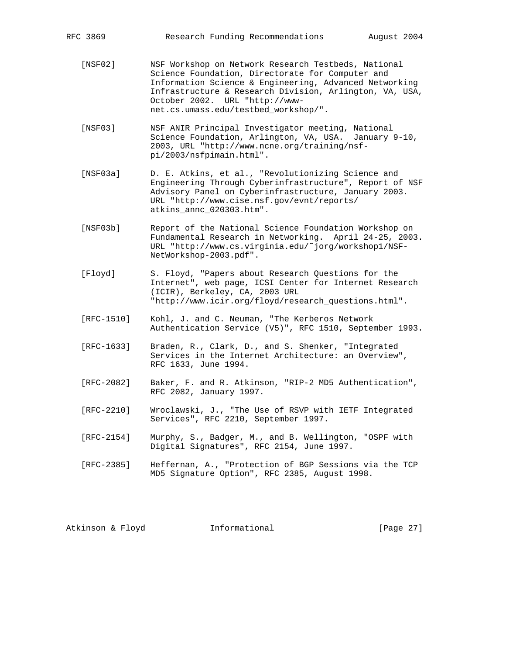- [NSF02] NSF Workshop on Network Research Testbeds, National Science Foundation, Directorate for Computer and Information Science & Engineering, Advanced Networking Infrastructure & Research Division, Arlington, VA, USA, October 2002. URL "http://www net.cs.umass.edu/testbed\_workshop/".
- [NSF03] NSF ANIR Principal Investigator meeting, National Science Foundation, Arlington, VA, USA. January 9-10, 2003, URL "http://www.ncne.org/training/nsf pi/2003/nsfpimain.html".
- [NSF03a] D. E. Atkins, et al., "Revolutionizing Science and Engineering Through Cyberinfrastructure", Report of NSF Advisory Panel on Cyberinfrastructure, January 2003. URL "http://www.cise.nsf.gov/evnt/reports/ atkins\_annc\_020303.htm".
- [NSF03b] Report of the National Science Foundation Workshop on Fundamental Research in Networking. April 24-25, 2003. URL "http://www.cs.virginia.edu/˜jorg/workshop1/NSF- NetWorkshop-2003.pdf".
- [Floyd] S. Floyd, "Papers about Research Questions for the Internet", web page, ICSI Center for Internet Research (ICIR), Berkeley, CA, 2003 URL "http://www.icir.org/floyd/research\_questions.html".
- [RFC-1510] Kohl, J. and C. Neuman, "The Kerberos Network Authentication Service (V5)", RFC 1510, September 1993.
- [RFC-1633] Braden, R., Clark, D., and S. Shenker, "Integrated Services in the Internet Architecture: an Overview", RFC 1633, June 1994.
- [RFC-2082] Baker, F. and R. Atkinson, "RIP-2 MD5 Authentication", RFC 2082, January 1997.
- [RFC-2210] Wroclawski, J., "The Use of RSVP with IETF Integrated Services", RFC 2210, September 1997.
- [RFC-2154] Murphy, S., Badger, M., and B. Wellington, "OSPF with Digital Signatures", RFC 2154, June 1997.
- [RFC-2385] Heffernan, A., "Protection of BGP Sessions via the TCP MD5 Signature Option", RFC 2385, August 1998.

Atkinson & Floyd **Informational** [Page 27]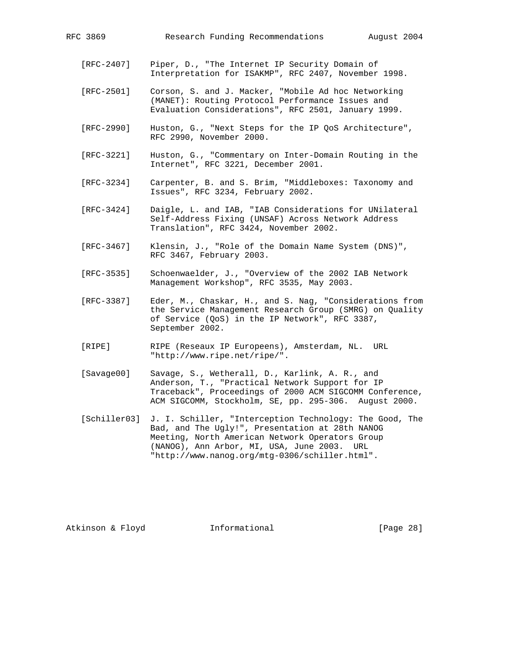- [RFC-2407] Piper, D., "The Internet IP Security Domain of Interpretation for ISAKMP", RFC 2407, November 1998.
- [RFC-2501] Corson, S. and J. Macker, "Mobile Ad hoc Networking (MANET): Routing Protocol Performance Issues and Evaluation Considerations", RFC 2501, January 1999.
- [RFC-2990] Huston, G., "Next Steps for the IP QoS Architecture", RFC 2990, November 2000.
- [RFC-3221] Huston, G., "Commentary on Inter-Domain Routing in the Internet", RFC 3221, December 2001.
- [RFC-3234] Carpenter, B. and S. Brim, "Middleboxes: Taxonomy and Issues", RFC 3234, February 2002.
- [RFC-3424] Daigle, L. and IAB, "IAB Considerations for UNilateral Self-Address Fixing (UNSAF) Across Network Address Translation", RFC 3424, November 2002.
- [RFC-3467] Klensin, J., "Role of the Domain Name System (DNS)", RFC 3467, February 2003.
- [RFC-3535] Schoenwaelder, J., "Overview of the 2002 IAB Network Management Workshop", RFC 3535, May 2003.
- [RFC-3387] Eder, M., Chaskar, H., and S. Nag, "Considerations from the Service Management Research Group (SMRG) on Quality of Service (QoS) in the IP Network", RFC 3387, September 2002.
- [RIPE] RIPE (Reseaux IP Europeens), Amsterdam, NL. URL "http://www.ripe.net/ripe/".
- [Savage00] Savage, S., Wetherall, D., Karlink, A. R., and Anderson, T., "Practical Network Support for IP Traceback", Proceedings of 2000 ACM SIGCOMM Conference, ACM SIGCOMM, Stockholm, SE, pp. 295-306. August 2000.
- [Schiller03] J. I. Schiller, "Interception Technology: The Good, The Bad, and The Ugly!", Presentation at 28th NANOG Meeting, North American Network Operators Group (NANOG), Ann Arbor, MI, USA, June 2003. URL "http://www.nanog.org/mtg-0306/schiller.html".

Atkinson & Floyd **Informational** [Page 28]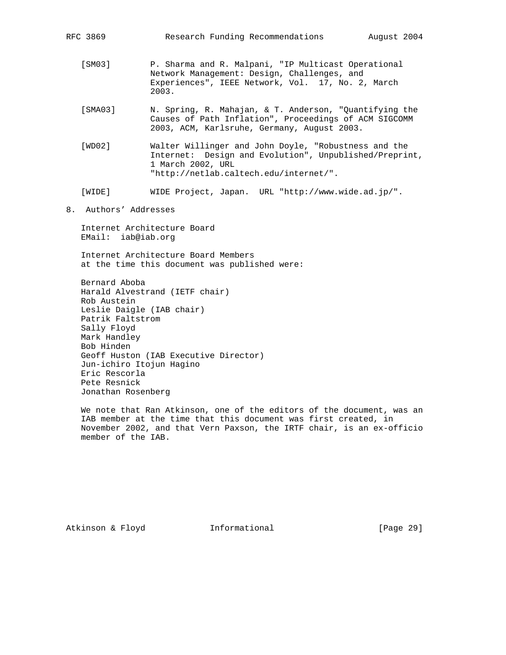- [SM03] P. Sharma and R. Malpani, "IP Multicast Operational Network Management: Design, Challenges, and Experiences", IEEE Network, Vol. 17, No. 2, March 2003.
- [SMA03] N. Spring, R. Mahajan, & T. Anderson, "Quantifying the Causes of Path Inflation", Proceedings of ACM SIGCOMM 2003, ACM, Karlsruhe, Germany, August 2003.
- [WD02] Walter Willinger and John Doyle, "Robustness and the Internet: Design and Evolution", Unpublished/Preprint, 1 March 2002, URL "http://netlab.caltech.edu/internet/".
- [WIDE] WIDE Project, Japan. URL "http://www.wide.ad.jp/".
- 8. Authors' Addresses

 Internet Architecture Board EMail: iab@iab.org

 Internet Architecture Board Members at the time this document was published were:

 Bernard Aboba Harald Alvestrand (IETF chair) Rob Austein Leslie Daigle (IAB chair) Patrik Faltstrom Sally Floyd Mark Handley Bob Hinden Geoff Huston (IAB Executive Director) Jun-ichiro Itojun Hagino Eric Rescorla Pete Resnick Jonathan Rosenberg

 We note that Ran Atkinson, one of the editors of the document, was an IAB member at the time that this document was first created, in November 2002, and that Vern Paxson, the IRTF chair, is an ex-officio member of the IAB.

Atkinson & Floyd **Informational** [Page 29]